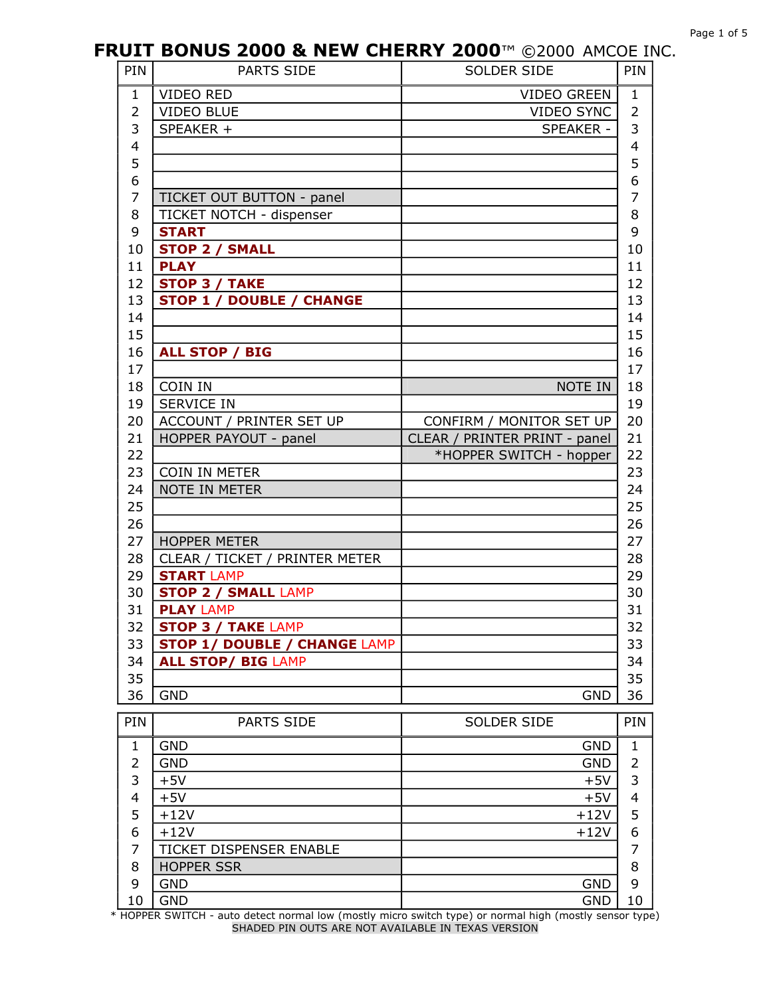| PIN                      | PARTS SIDE                          | SOLDER SIDE                   | PIN                     |
|--------------------------|-------------------------------------|-------------------------------|-------------------------|
| $\mathbf{1}$             | VIDEO RED                           | VIDEO GREEN                   | $\mathbf{1}$            |
| $\overline{2}$           | <b>VIDEO BLUE</b>                   | VIDEO SYNC                    | $\overline{2}$          |
| 3                        | SPEAKER +                           | SPEAKER -                     | 3                       |
| $\overline{4}$           |                                     |                               | $\overline{\mathbf{4}}$ |
| 5                        |                                     |                               | 5                       |
| 6                        |                                     |                               | 6                       |
| $\overline{7}$           | TICKET OUT BUTTON - panel           |                               | 7                       |
| 8                        | TICKET NOTCH - dispenser            |                               | 8                       |
| 9                        | <b>START</b>                        |                               | 9                       |
| 10                       | <b>STOP 2 / SMALL</b>               |                               | 10                      |
| 11                       | <b>PLAY</b>                         |                               | 11                      |
| 12                       | <b>STOP 3 / TAKE</b>                |                               | 12                      |
| 13                       | <b>STOP 1 / DOUBLE / CHANGE</b>     |                               | 13                      |
| 14                       |                                     |                               | 14                      |
| 15                       |                                     |                               | 15                      |
| 16                       | <b>ALL STOP / BIG</b>               |                               | 16                      |
| 17                       |                                     |                               | 17                      |
| 18                       | COIN IN                             | NOTE IN                       | 18                      |
| 19                       | <b>SERVICE IN</b>                   |                               | 19                      |
| 20                       | ACCOUNT / PRINTER SET UP            | CONFIRM / MONITOR SET UP      | 20                      |
| 21                       | HOPPER PAYOUT - panel               | CLEAR / PRINTER PRINT - panel | 21                      |
| 22                       |                                     | *HOPPER SWITCH - hopper       | 22                      |
| 23                       | <b>COIN IN METER</b>                |                               | 23                      |
| 24                       | <b>NOTE IN METER</b>                |                               | 24                      |
| 25                       |                                     |                               | 25                      |
| 26                       |                                     |                               | 26                      |
| 27                       | <b>HOPPER METER</b>                 |                               | 27                      |
| 28                       | CLEAR / TICKET / PRINTER METER      |                               | 28                      |
| 29                       | <b>START LAMP</b>                   |                               | 29                      |
| 30                       | <b>STOP 2 / SMALL LAMP</b>          |                               | 30                      |
| 31                       | <b>PLAY LAMP</b>                    |                               | 31                      |
| 32                       | <b>STOP 3 / TAKE LAMP</b>           |                               | 32                      |
| 33                       | <b>STOP 1/ DOUBLE / CHANGE LAMP</b> |                               | 33                      |
| 34                       | <b>ALL STOP/ BIG LAMP</b>           |                               | 34                      |
| 35                       |                                     |                               | 35                      |
| 36                       | <b>GND</b>                          | <b>GND</b>                    | 36                      |
| PIN                      | PARTS SIDE                          | SOLDER SIDE                   | PIN                     |
| $\mathbf{1}$             | <b>GND</b>                          | <b>GND</b>                    | 1                       |
| $\overline{2}$           | <b>GND</b>                          | <b>GND</b>                    | $\overline{2}$          |
| 3                        | $+5V$                               | $+5V$                         | 3                       |
| $\overline{\mathcal{A}}$ | $+5V$                               | $+5V$                         | 4                       |
| 5                        | $+12V$                              | $+12V$                        | 5                       |
| 6                        | $+12V$                              | $+12V$                        | 6                       |
| 7                        | TICKET DISPENSER ENABLE             |                               | 7                       |
| 8                        | <b>HOPPER SSR</b>                   |                               | 8                       |

 GND GND 10 \* HOPPER SWITCH auto detect normal low (mostly micro switch type) or normal high (mostly sensor type) SHADED PIN OUTS ARE NOT AVAILABLE IN TEXAS VERSION

GND GND 9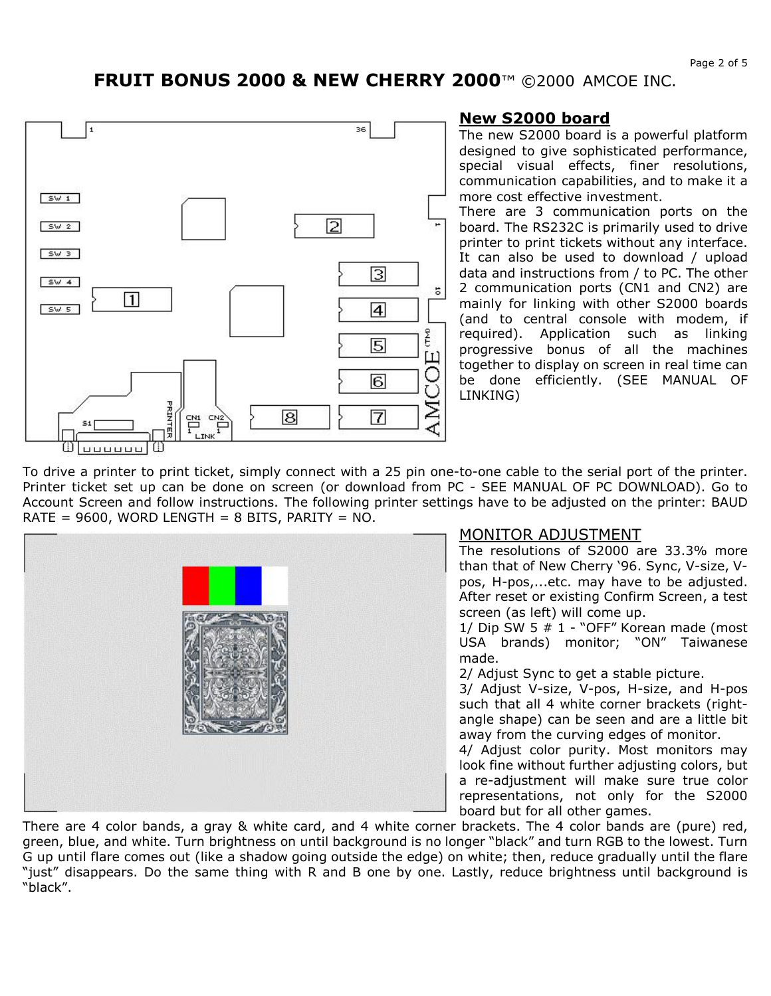

### **New S2000 board**

The new S2000 board is a powerful platform designed to give sophisticated performance, special visual effects, finer resolutions, communication capabilities, and to make it a more cost effective investment.

There are 3 communication ports on the board. The RS232C is primarily used to drive printer to print tickets without any interface. It can also be used to download / upload data and instructions from / to PC. The other 2 communication ports (CN1 and CN2) are mainly for linking with other S2000 boards (and to central console with modem, if required). Application such as linking progressive bonus of all the machines together to display on screen in real time can be done efficiently. (SEE MANUAL OF LINKING)

To drive a printer to print ticket, simply connect with a 25 pin one-to-one cable to the serial port of the printer. Printer ticket set up can be done on screen (or download from PC - SEE MANUAL OF PC DOWNLOAD). Go to Account Screen and follow instructions. The following printer settings have to be adjusted on the printer: BAUD RATE =  $9600$ , WORD LENGTH = 8 BITS, PARITY = NO.



## MONITOR ADJUSTMENT

The resolutions of S2000 are 33.3% more than that of New Cherry '96. Sync, V-size, Vpos, H-pos,...etc. may have to be adjusted. After reset or existing Confirm Screen, a test screen (as left) will come up.

1/ Dip SW 5  $#$  1 - "OFF" Korean made (most USA brands) monitor; "ON" Taiwanese made.

2/ Adjust Sync to get a stable picture.

3/ Adjust V-size, V-pos, H-size, and H-pos such that all 4 white corner brackets (rightangle shape) can be seen and are a little bit away from the curving edges of monitor.

4/ Adjust color purity. Most monitors may look fine without further adjusting colors, but a re-adjustment will make sure true color representations, not only for the S2000 board but for all other games.

There are 4 color bands, a gray & white card, and 4 white corner brackets. The 4 color bands are (pure) red, green, blue, and white. Turn brightness on until background is no longer "black" and turn RGB to the lowest. Turn G up until flare comes out (like a shadow going outside the edge) on white; then, reduce gradually until the flare "just" disappears. Do the same thing with R and B one by one. Lastly, reduce brightness until background is "black".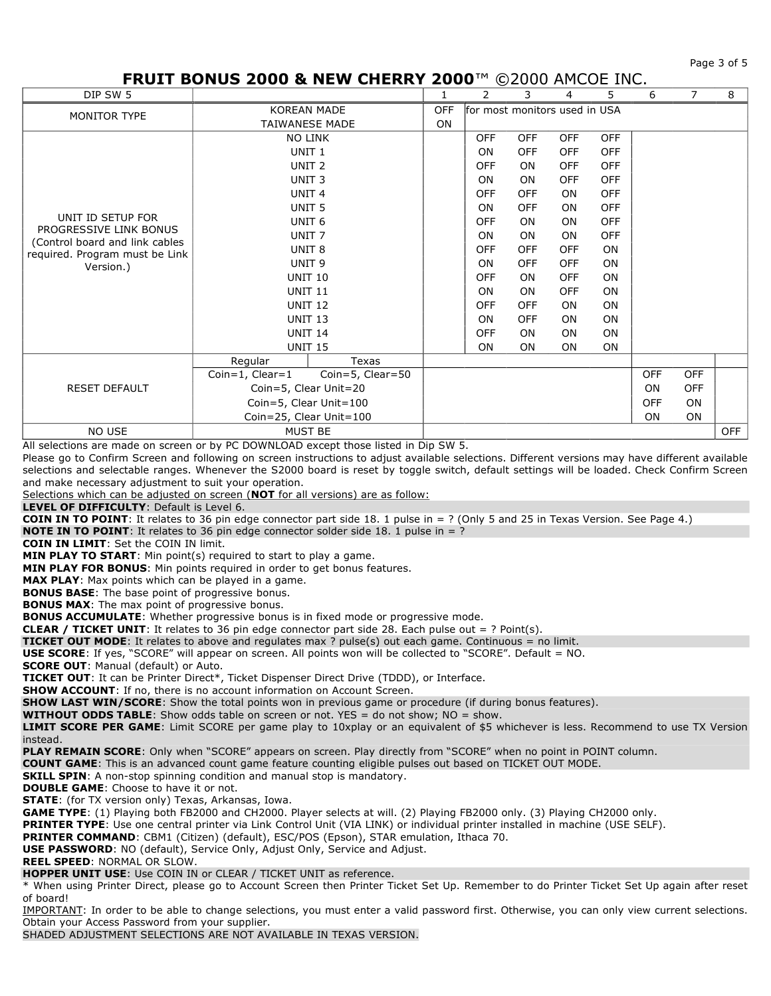Page 3 of 5

## **FRUIT BONUS 2000 & NEW CHERRY 2000**™ ©2000 AMCOE INC.

| DIP SW 5                                    |                         |                  | 1                                           | 2          | 3          | 4          | 5          | 6          | $\overline{7}$ | 8          |
|---------------------------------------------|-------------------------|------------------|---------------------------------------------|------------|------------|------------|------------|------------|----------------|------------|
| MONITOR TYPE                                | <b>KOREAN MADE</b>      |                  | for most monitors used in USA<br><b>OFF</b> |            |            |            |            |            |                |            |
|                                             | <b>TAIWANESE MADE</b>   |                  | ON                                          |            |            |            |            |            |                |            |
|                                             | <b>NO LINK</b>          |                  |                                             | <b>OFF</b> | <b>OFF</b> | <b>OFF</b> | <b>OFF</b> |            |                |            |
|                                             | UNIT <sub>1</sub>       |                  |                                             | <b>ON</b>  | <b>OFF</b> | <b>OFF</b> | <b>OFF</b> |            |                |            |
|                                             | UNIT <sub>2</sub>       |                  |                                             | <b>OFF</b> | <b>ON</b>  | <b>OFF</b> | <b>OFF</b> |            |                |            |
|                                             | UNIT <sub>3</sub>       |                  |                                             | <b>ON</b>  | <b>ON</b>  | <b>OFF</b> | <b>OFF</b> |            |                |            |
|                                             | UNIT <sub>4</sub>       |                  |                                             | <b>OFF</b> | <b>OFF</b> | ON         | <b>OFF</b> |            |                |            |
|                                             | UNIT <sub>5</sub>       |                  |                                             | <b>ON</b>  | <b>OFF</b> | <b>ON</b>  | <b>OFF</b> |            |                |            |
| UNIT ID SETUP FOR<br>PROGRESSIVE LINK BONUS | UNIT <sub>6</sub>       |                  |                                             | <b>OFF</b> | <b>ON</b>  | ON         | <b>OFF</b> |            |                |            |
| (Control board and link cables              | UNIT <sub>7</sub>       |                  |                                             | ON         | ON         | ON         | <b>OFF</b> |            |                |            |
| required. Program must be Link              | UNIT <sub>8</sub>       |                  |                                             | <b>OFF</b> | <b>OFF</b> | <b>OFF</b> | ON         |            |                |            |
| Version.)                                   | UNIT <sub>9</sub>       |                  |                                             | ON         | <b>OFF</b> | OFF        | ON         |            |                |            |
|                                             | <b>UNIT 10</b>          |                  |                                             | <b>OFF</b> | ON         | <b>OFF</b> | ON         |            |                |            |
|                                             | <b>UNIT 11</b>          |                  |                                             | ON         | ON         | <b>OFF</b> | ON         |            |                |            |
|                                             | <b>UNIT 12</b>          |                  |                                             | <b>OFF</b> | <b>OFF</b> | ON         | <b>ON</b>  |            |                |            |
|                                             | <b>UNIT 13</b>          |                  |                                             | <b>ON</b>  | <b>OFF</b> | <b>ON</b>  | ON         |            |                |            |
|                                             | <b>UNIT 14</b>          |                  |                                             | <b>OFF</b> | ON         | ON         | ON         |            |                |            |
|                                             | <b>UNIT 15</b>          |                  |                                             | <b>ON</b>  | ON         | ON         | ON         |            |                |            |
|                                             | Regular                 | Texas            |                                             |            |            |            |            |            |                |            |
|                                             | $Coin=1$ , $Clear=1$    | Coin=5, Clear=50 |                                             |            |            |            |            | <b>OFF</b> | <b>OFF</b>     |            |
| <b>RESET DEFAULT</b>                        | Coin=5, Clear Unit=20   |                  |                                             |            |            |            |            | <b>ON</b>  | <b>OFF</b>     |            |
|                                             | Coin=5, Clear Unit=100  |                  |                                             |            |            |            |            | <b>OFF</b> | <b>ON</b>      |            |
|                                             | Coin=25, Clear Unit=100 |                  |                                             |            |            |            |            | <b>ON</b>  | ON             |            |
| NO USE                                      | <b>MUST BE</b>          |                  |                                             |            |            |            |            |            |                | <b>OFF</b> |

All selections are made on screen or by PC DOWNLOAD except those listed in Dip SW 5.

Please go to Confirm Screen and following on screen instructions to adjust available selections. Different versions may have different available selections and selectable ranges. Whenever the S2000 board is reset by toggle switch, default settings will be loaded. Check Confirm Screen and make necessary adjustment to suit your operation.

Selections which can be adjusted on screen (**NOT** for all versions) are as follow:

**LEVEL OF DIFFICULTY**: Default is Level 6.

**COIN IN TO POINT**: It relates to 36 pin edge connector part side 18. 1 pulse in = ? (Only 5 and 25 in Texas Version. See Page 4.)

**NOTE IN TO POINT**: It relates to 36 pin edge connector solder side 18. 1 pulse in = ?

**COIN IN LIMIT**: Set the COIN IN limit.

**MIN PLAY TO START:** Min point(s) required to start to play a game.

**MIN PLAY FOR BONUS**: Min points required in order to get bonus features.

**MAX PLAY**: Max points which can be played in a game.

**BONUS BASE**: The base point of progressive bonus.

**BONUS MAX:** The max point of progressive bonus.

**BONUS ACCUMULATE:** Whether progressive bonus is in fixed mode or progressive mode.

**CLEAR / TICKET UNIT**: It relates to 36 pin edge connector part side 28. Each pulse out = ? Point(s).

**TICKET OUT MODE**: It relates to above and requlates max ? pulse(s) out each game. Continuous = no limit.

**USE SCORE**: If yes, "SCORE" will appear on screen. All points won will be collected to "SCORE". Default = NO.

**SCORE OUT**: Manual (default) or Auto.

**TICKET OUT**: It can be Printer Direct\*, Ticket Dispenser Direct Drive (TDDD), or Interface.

**SHOW ACCOUNT**: If no, there is no account information on Account Screen.

**SHOW LAST WIN/SCORE:** Show the total points won in previous game or procedure (if during bonus features).

**WITHOUT ODDS TABLE**: Show odds table on screen or not. YES = do not show; NO = show.

**LIMIT SCORE PER GAME**: Limit SCORE per game play to 10xplay or an equivalent of \$5 whichever is less. Recommend to use TX Version instead.

**PLAY REMAIN SCORE**: Only when "SCORE" appears on screen. Play directly from "SCORE" when no point in POINT column.

**COUNT GAME**: This is an advanced count game feature counting eligible pulses out based on TICKET OUT MODE.

**SKILL SPIN**: A non-stop spinning condition and manual stop is mandatory.

**DOUBLE GAME**: Choose to have it or not.

**STATE**: (for TX version only) Texas, Arkansas, Iowa.

**GAME TYPE**: (1) Playing both FB2000 and CH2000. Player selects at will. (2) Playing FB2000 only. (3) Playing CH2000 only.

**PRINTER TYPE**: Use one central printer via Link Control Unit (VIA LINK) or individual printer installed in machine (USE SELF).

**PRINTER COMMAND**: CBM1 (Citizen) (default), ESC/POS (Epson), STAR emulation, Ithaca 70.

**USE PASSWORD**: NO (default), Service Only, Adjust Only, Service and Adjust.

**REEL SPEED**: NORMAL OR SLOW.

**HOPPER UNIT USE**: Use COIN IN or CLEAR / TICKET UNIT as reference.

\* When using Printer Direct, please go to Account Screen then Printer Ticket Set Up. Remember to do Printer Ticket Set Up again after reset of board!

IMPORTANT: In order to be able to change selections, you must enter a valid password first. Otherwise, you can only view current selections. Obtain your Access Password from your supplier.

SHADED ADJUSTMENT SELECTIONS ARE NOT AVAILABLE IN TEXAS VERSION.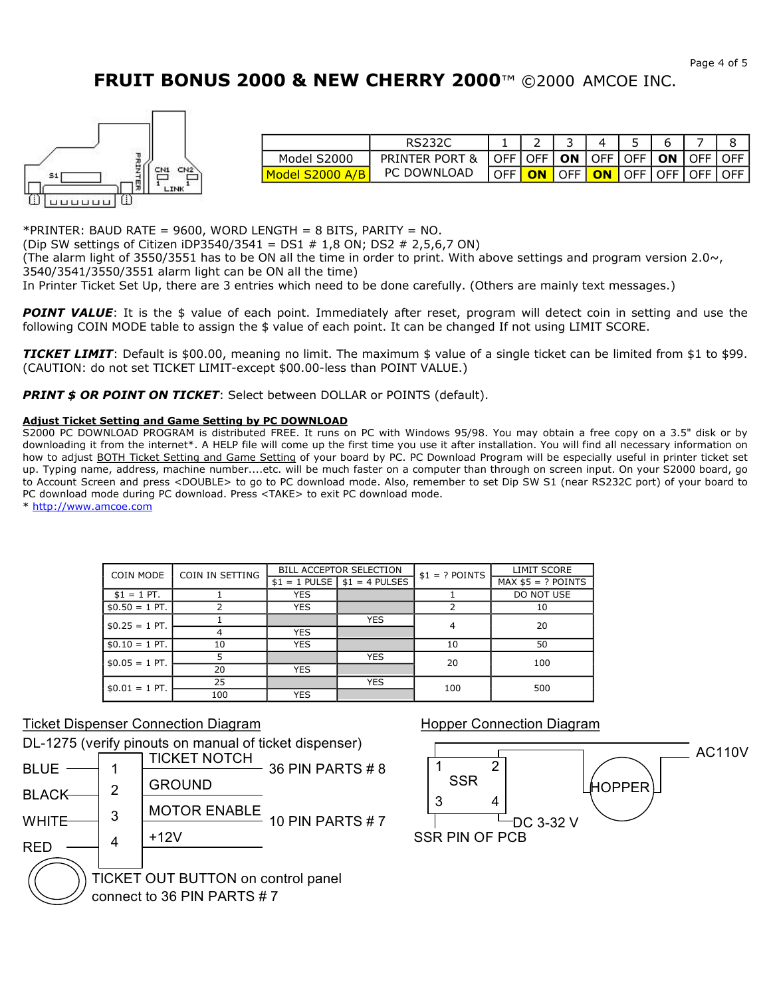

| Model S2000 | PRINTER PORT & | OFF   OFF   ON   OFF   OFF   ON   OFF |           |        |                 |                      | <b>OFF</b> |
|-------------|----------------|---------------------------------------|-----------|--------|-----------------|----------------------|------------|
| Model       | PC DOWNLOAD    | OFF I                                 | <b>ON</b> | LOFF L | $\overline{ON}$ | <b>OFF LOFF LOFF</b> | $\cap$ FF  |

\*PRINTER: BAUD RATE = 9600, WORD LENGTH = 8 BITS, PARITY = NO.

(Dip SW settings of Citizen iDP3540/3541 = DS1 # 1,8 ON; DS2 # 2,5,6,7 ON)

(The alarm light of 3550/3551 has to be ON all the time in order to print. With above settings and program version  $2.0 \sim$ , 3540/3541/3550/3551 alarm light can be ON all the time)

In Printer Ticket Set Up, there are 3 entries which need to be done carefully. (Others are mainly text messages.)

*POINT VALUE*: It is the \$ value of each point. Immediately after reset, program will detect coin in setting and use the following COIN MODE table to assign the \$ value of each point. It can be changed If not using LIMIT SCORE.

*TICKET LIMIT*: Default is \$00.00, meaning no limit. The maximum \$ value of a single ticket can be limited from \$1 to \$99. (CAUTION: do not set TICKET LIMIT-except \$00.00-less than POINT VALUE.)

**PRINT \$ OR POINT ON TICKET:** Select between DOLLAR or POINTS (default).

#### **Adjust Ticket Setting and Game Setting by PC DOWNLOAD**

S2000 PC DOWNLOAD PROGRAM is distributed FREE. It runs on PC with Windows 95/98. You may obtain a free copy on a 3.5" disk or by downloading it from the internet\*. A HELP file will come up the first time you use it after installation. You will find all necessary information on how to adjust BOTH Ticket Setting and Game Setting of your board by PC. PC Download Program will be especially useful in printer ticket set up. Typing name, address, machine number....etc. will be much faster on a computer than through on screen input. On your S2000 board, go to Account Screen and press <DOUBLE> to go to PC download mode. Also, remember to set Dip SW S1 (near RS232C port) of your board to PC download mode during PC download. Press <TAKE> to exit PC download mode.

\* http://www.amcoe.com

| COIN MODE       | COIN IN SETTING |            | BILL ACCEPTOR SELECTION        | $$1 = ?$ POINTS | LIMIT SCORE          |  |
|-----------------|-----------------|------------|--------------------------------|-----------------|----------------------|--|
|                 |                 |            | $$1 = 1$ PULSE $$1 = 4$ PULSES |                 | $MAX$ \$5 = ? POINTS |  |
| $$1 = 1$ PT.    |                 | <b>YES</b> |                                |                 | DO NOT USE           |  |
| $$0.50 = 1$ PT. |                 | <b>YES</b> |                                |                 | 10                   |  |
| $$0.25 = 1$ PT. |                 |            | <b>YES</b>                     | 4               | 20                   |  |
|                 | 4               | <b>YES</b> |                                |                 |                      |  |
| $$0.10 = 1$ PT. | 10              | <b>YES</b> |                                | 10              | 50                   |  |
| $$0.05 = 1$ PT. |                 |            | <b>YES</b>                     | 20              | 100                  |  |
|                 | 20              | <b>YES</b> |                                |                 |                      |  |
| $$0.01 = 1$ PT. | 25              |            | <b>YES</b>                     | 100             | 500                  |  |
|                 | 100             | <b>YES</b> |                                |                 |                      |  |

### Ticket Dispenser Connection Diagram

DL-1275 (verify pinouts on manual of ticket dispenser) TICKET NOTCH



### Hopper Connection Diagram

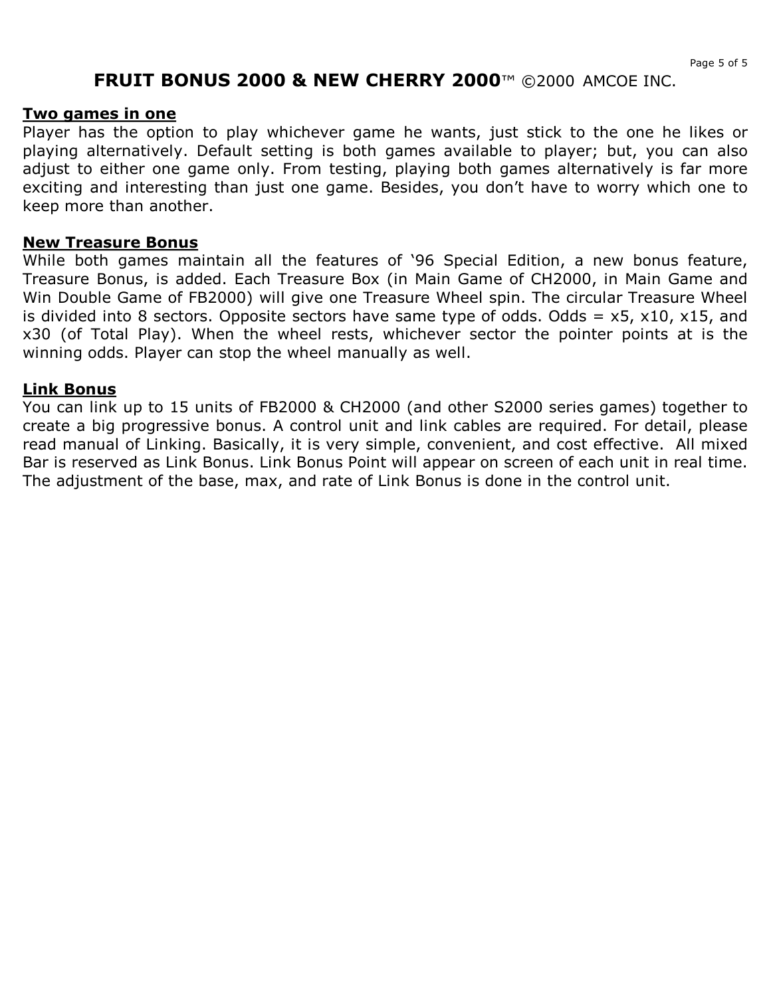### **Two games in one**

Player has the option to play whichever game he wants, just stick to the one he likes or playing alternatively. Default setting is both games available to player; but, you can also adjust to either one game only. From testing, playing both games alternatively is far more exciting and interesting than just one game. Besides, you don't have to worry which one to keep more than another.

### **New Treasure Bonus**

While both games maintain all the features of '96 Special Edition, a new bonus feature, Treasure Bonus, is added. Each Treasure Box (in Main Game of CH2000, in Main Game and Win Double Game of FB2000) will give one Treasure Wheel spin. The circular Treasure Wheel is divided into 8 sectors. Opposite sectors have same type of odds. Odds =  $x5$ ,  $x10$ ,  $x15$ , and x30 (of Total Play). When the wheel rests, whichever sector the pointer points at is the winning odds. Player can stop the wheel manually as well.

## **Link Bonus**

You can link up to 15 units of FB2000 & CH2000 (and other S2000 series games) together to create a big progressive bonus. A control unit and link cables are required. For detail, please read manual of Linking. Basically, it is very simple, convenient, and cost effective. All mixed Bar is reserved as Link Bonus. Link Bonus Point will appear on screen of each unit in real time. The adjustment of the base, max, and rate of Link Bonus is done in the control unit.